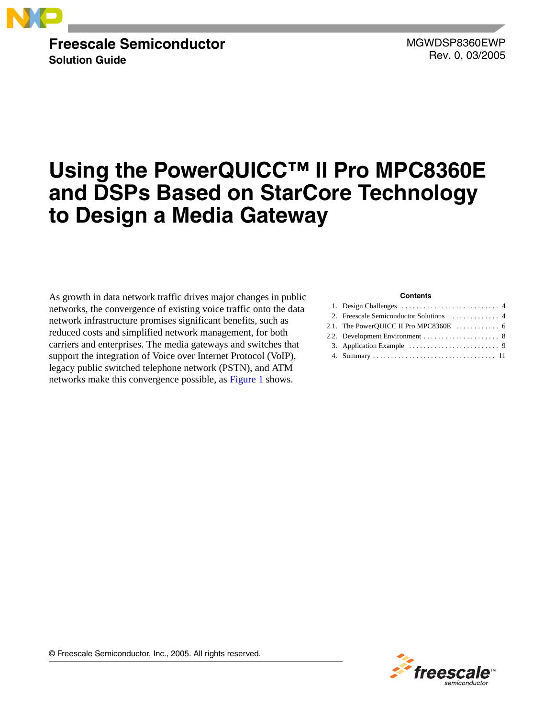

### **Freescale Semiconductor Solution Guide**

MGWDSP8360EWP Rev. 0, 03/2005

# **Using the PowerQUICC™ II Pro MPC8360E and DSPs Based on StarCore Technology to Design a Media Gateway**

As growth in data network traffic drives major changes in public networks, the convergence of existing voice traffic onto the data network infrastructure promises significant benefits, such as reduced costs and simplified network management, for both carriers and enterprises. The media gateways and switches that support the integration of Voice over Internet Protocol (VoIP), legacy public switched telephone network (PSTN), and ATM networks make this convergence possible, as [Figure 1](#page-1-0) shows.

#### **Contents**



© Freescale Semiconductor, Inc., 2005. All rights reserved.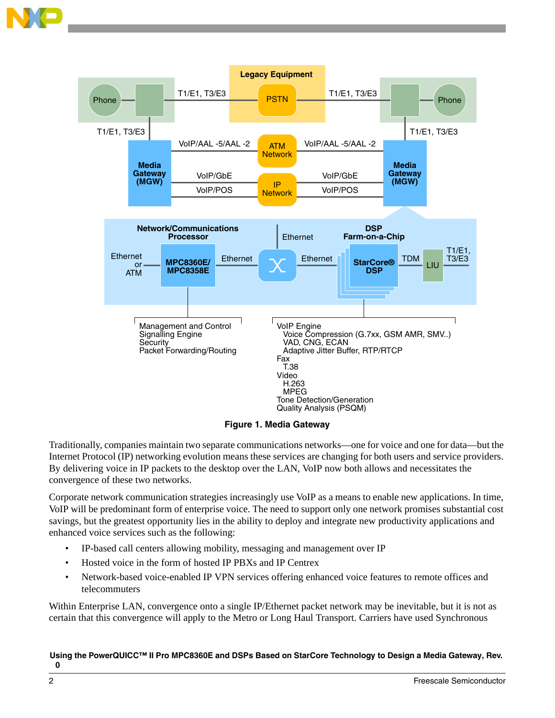

**Figure 1. Media Gateway**

<span id="page-1-0"></span>Traditionally, companies maintain two separate communications networks—one for voice and one for data—but the Internet Protocol (IP) networking evolution means these services are changing for both users and service providers. By delivering voice in IP packets to the desktop over the LAN, VoIP now both allows and necessitates the convergence of these two networks.

Corporate network communication strategies increasingly use VoIP as a means to enable new applications. In time, VoIP will be predominant form of enterprise voice. The need to support only one network promises substantial cost savings, but the greatest opportunity lies in the ability to deploy and integrate new productivity applications and enhanced voice services such as the following:

- IP-based call centers allowing mobility, messaging and management over IP
- Hosted voice in the form of hosted IP PBXs and IP Centrex
- Network-based voice-enabled IP VPN services offering enhanced voice features to remote offices and telecommuters

Within Enterprise LAN, convergence onto a single IP/Ethernet packet network may be inevitable, but it is not as certain that this convergence will apply to the Metro or Long Haul Transport. Carriers have used Synchronous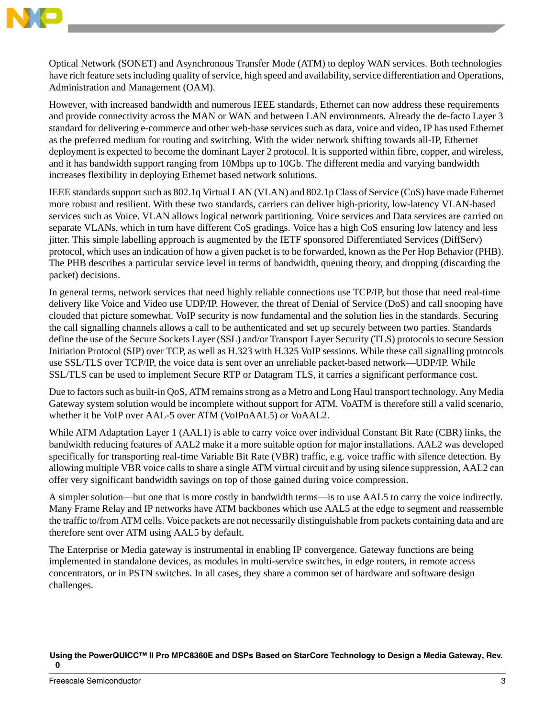

Optical Network (SONET) and Asynchronous Transfer Mode (ATM) to deploy WAN services. Both technologies have rich feature sets including quality of service, high speed and availability, service differentiation and Operations, Administration and Management (OAM).

However, with increased bandwidth and numerous IEEE standards, Ethernet can now address these requirements and provide connectivity across the MAN or WAN and between LAN environments. Already the de-facto Layer 3 standard for delivering e-commerce and other web-base services such as data, voice and video, IP has used Ethernet as the preferred medium for routing and switching. With the wider network shifting towards all-IP, Ethernet deployment is expected to become the dominant Layer 2 protocol. It is supported within fibre, copper, and wireless, and it has bandwidth support ranging from 10Mbps up to 10Gb. The different media and varying bandwidth increases flexibility in deploying Ethernet based network solutions.

IEEE standards support such as 802.1q Virtual LAN (VLAN) and 802.1p Class of Service (CoS) have made Ethernet more robust and resilient. With these two standards, carriers can deliver high-priority, low-latency VLAN-based services such as Voice. VLAN allows logical network partitioning. Voice services and Data services are carried on separate VLANs, which in turn have different CoS gradings. Voice has a high CoS ensuring low latency and less jitter. This simple labelling approach is augmented by the IETF sponsored Differentiated Services (DiffServ) protocol, which uses an indication of how a given packet is to be forwarded, known as the Per Hop Behavior (PHB). The PHB describes a particular service level in terms of bandwidth, queuing theory, and dropping (discarding the packet) decisions.

In general terms, network services that need highly reliable connections use TCP/IP, but those that need real-time delivery like Voice and Video use UDP/IP. However, the threat of Denial of Service (DoS) and call snooping have clouded that picture somewhat. VoIP security is now fundamental and the solution lies in the standards. Securing the call signalling channels allows a call to be authenticated and set up securely between two parties. Standards define the use of the Secure Sockets Layer (SSL) and/or Transport Layer Security (TLS) protocols to secure Session Initiation Protocol (SIP) over TCP, as well as H.323 with H.325 VoIP sessions. While these call signalling protocols use SSL/TLS over TCP/IP, the voice data is sent over an unreliable packet-based network—UDP/IP. While SSL/TLS can be used to implement Secure RTP or Datagram TLS, it carries a significant performance cost.

Due to factors such as built-in QoS, ATM remains strong as a Metro and Long Haul transport technology. Any Media Gateway system solution would be incomplete without support for ATM. VoATM is therefore still a valid scenario, whether it be VoIP over AAL-5 over ATM (VoIPoAAL5) or VoAAL2.

While ATM Adaptation Layer 1 (AAL1) is able to carry voice over individual Constant Bit Rate (CBR) links, the bandwidth reducing features of AAL2 make it a more suitable option for major installations. AAL2 was developed specifically for transporting real-time Variable Bit Rate (VBR) traffic, e.g. voice traffic with silence detection. By allowing multiple VBR voice calls to share a single ATM virtual circuit and by using silence suppression, AAL2 can offer very significant bandwidth savings on top of those gained during voice compression.

A simpler solution—but one that is more costly in bandwidth terms—is to use AAL5 to carry the voice indirectly. Many Frame Relay and IP networks have ATM backbones which use AAL5 at the edge to segment and reassemble the traffic to/from ATM cells. Voice packets are not necessarily distinguishable from packets containing data and are therefore sent over ATM using AAL5 by default.

The Enterprise or Media gateway is instrumental in enabling IP convergence. Gateway functions are being implemented in standalone devices, as modules in multi-service switches, in edge routers, in remote access concentrators, or in PSTN switches. In all cases, they share a common set of hardware and software design challenges.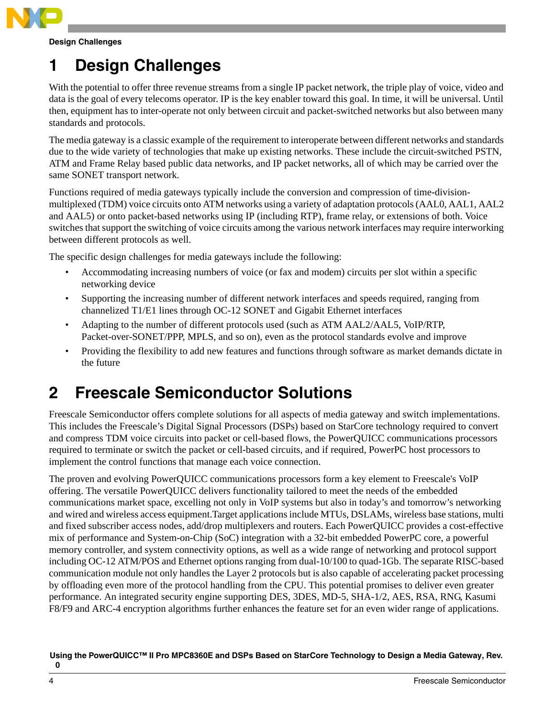

**Design Challenges**

# <span id="page-3-0"></span>**1 Design Challenges**

With the potential to offer three revenue streams from a single IP packet network, the triple play of voice, video and data is the goal of every telecoms operator. IP is the key enabler toward this goal. In time, it will be universal. Until then, equipment has to inter-operate not only between circuit and packet-switched networks but also between many standards and protocols.

The media gateway is a classic example of the requirement to interoperate between different networks and standards due to the wide variety of technologies that make up existing networks. These include the circuit-switched PSTN, ATM and Frame Relay based public data networks, and IP packet networks, all of which may be carried over the same SONET transport network.

Functions required of media gateways typically include the conversion and compression of time-divisionmultiplexed (TDM) voice circuits onto ATM networks using a variety of adaptation protocols (AAL0, AAL1, AAL2 and AAL5) or onto packet-based networks using IP (including RTP), frame relay, or extensions of both. Voice switches that support the switching of voice circuits among the various network interfaces may require interworking between different protocols as well.

The specific design challenges for media gateways include the following:

- Accommodating increasing numbers of voice (or fax and modem) circuits per slot within a specific networking device
- Supporting the increasing number of different network interfaces and speeds required, ranging from channelized T1/E1 lines through OC-12 SONET and Gigabit Ethernet interfaces
- Adapting to the number of different protocols used (such as ATM AAL2/AAL5, VoIP/RTP, Packet-over-SONET/PPP, MPLS, and so on), even as the protocol standards evolve and improve
- Providing the flexibility to add new features and functions through software as market demands dictate in the future

# <span id="page-3-1"></span>**2 Freescale Semiconductor Solutions**

Freescale Semiconductor offers complete solutions for all aspects of media gateway and switch implementations. This includes the Freescale's Digital Signal Processors (DSPs) based on StarCore technology required to convert and compress TDM voice circuits into packet or cell-based flows, the PowerQUICC communications processors required to terminate or switch the packet or cell-based circuits, and if required, PowerPC host processors to implement the control functions that manage each voice connection.

The proven and evolving PowerQUICC communications processors form a key element to Freescale's VoIP offering. The versatile PowerQUICC delivers functionality tailored to meet the needs of the embedded communications market space, excelling not only in VoIP systems but also in today's and tomorrow's networking and wired and wireless access equipment.Target applications include MTUs, DSLAMs, wireless base stations, multi and fixed subscriber access nodes, add/drop multiplexers and routers. Each PowerQUICC provides a cost-effective mix of performance and System-on-Chip (SoC) integration with a 32-bit embedded PowerPC core, a powerful memory controller, and system connectivity options, as well as a wide range of networking and protocol support including OC-12 ATM/POS and Ethernet options ranging from dual-10/100 to quad-1Gb. The separate RISC-based communication module not only handles the Layer 2 protocols but is also capable of accelerating packet processing by offloading even more of the protocol handling from the CPU. This potential promises to deliver even greater performance. An integrated security engine supporting DES, 3DES, MD-5, SHA-1/2, AES, RSA, RNG, Kasumi F8/F9 and ARC-4 encryption algorithms further enhances the feature set for an even wider range of applications.

**Using the PowerQUICC™ II Pro MPC8360E and DSPs Based on StarCore Technology to Design a Media Gateway, Rev.** 

**0**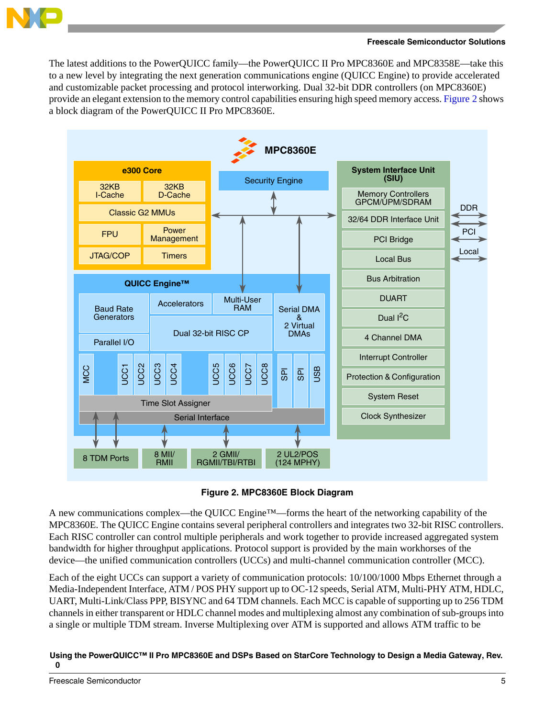

The latest additions to the PowerQUICC family—the PowerQUICC II Pro MPC8360E and MPC8358E—take this to a new level by integrating the next generation communications engine (QUICC Engine) to provide accelerated and customizable packet processing and protocol interworking. Dual 32-bit DDR controllers (on MPC8360E) provide an elegant extension to the memory control capabilities ensuring high speed memory access. [Figure 2](#page-4-0) shows a block diagram of the PowerQUICC II Pro MPC8360E.





<span id="page-4-0"></span>A new communications complex—the QUICC Engine™—forms the heart of the networking capability of the MPC8360E. The QUICC Engine contains several peripheral controllers and integrates two 32-bit RISC controllers. Each RISC controller can control multiple peripherals and work together to provide increased aggregated system bandwidth for higher throughput applications. Protocol support is provided by the main workhorses of the device—the unified communication controllers (UCCs) and multi-channel communication controller (MCC).

Each of the eight UCCs can support a variety of communication protocols: 10/100/1000 Mbps Ethernet through a Media-Independent Interface, ATM / POS PHY support up to OC-12 speeds, Serial ATM, Multi-PHY ATM, HDLC, UART, Multi-Link/Class PPP, BISYNC and 64 TDM channels. Each MCC is capable of supporting up to 256 TDM channels in either transparent or HDLC channel modes and multiplexing almost any combination of sub-groups into a single or multiple TDM stream. Inverse Multiplexing over ATM is supported and allows ATM traffic to be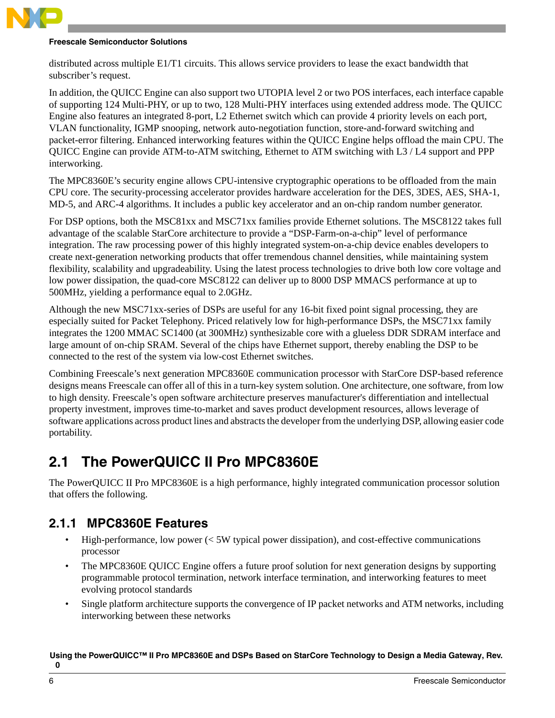

### **Freescale Semiconductor Solutions**

distributed across multiple E1/T1 circuits. This allows service providers to lease the exact bandwidth that subscriber's request.

In addition, the QUICC Engine can also support two UTOPIA level 2 or two POS interfaces, each interface capable of supporting 124 Multi-PHY, or up to two, 128 Multi-PHY interfaces using extended address mode. The QUICC Engine also features an integrated 8-port, L2 Ethernet switch which can provide 4 priority levels on each port, VLAN functionality, IGMP snooping, network auto-negotiation function, store-and-forward switching and packet-error filtering. Enhanced interworking features within the QUICC Engine helps offload the main CPU. The QUICC Engine can provide ATM-to-ATM switching, Ethernet to ATM switching with L3 / L4 support and PPP interworking.

The MPC8360E's security engine allows CPU-intensive cryptographic operations to be offloaded from the main CPU core. The security-processing accelerator provides hardware acceleration for the DES, 3DES, AES, SHA-1, MD-5, and ARC-4 algorithms. It includes a public key accelerator and an on-chip random number generator.

For DSP options, both the MSC81xx and MSC71xx families provide Ethernet solutions. The MSC8122 takes full advantage of the scalable StarCore architecture to provide a "DSP-Farm-on-a-chip" level of performance integration. The raw processing power of this highly integrated system-on-a-chip device enables developers to create next-generation networking products that offer tremendous channel densities, while maintaining system flexibility, scalability and upgradeability. Using the latest process technologies to drive both low core voltage and low power dissipation, the quad-core MSC8122 can deliver up to 8000 DSP MMACS performance at up to 500MHz, yielding a performance equal to 2.0GHz.

Although the new MSC71xx-series of DSPs are useful for any 16-bit fixed point signal processing, they are especially suited for Packet Telephony. Priced relatively low for high-performance DSPs, the MSC71xx family integrates the 1200 MMAC SC1400 (at 300MHz) synthesizable core with a glueless DDR SDRAM interface and large amount of on-chip SRAM. Several of the chips have Ethernet support, thereby enabling the DSP to be connected to the rest of the system via low-cost Ethernet switches.

Combining Freescale's next generation MPC8360E communication processor with StarCore DSP-based reference designs means Freescale can offer all of this in a turn-key system solution. One architecture, one software, from low to high density. Freescale's open software architecture preserves manufacturer's differentiation and intellectual property investment, improves time-to-market and saves product development resources, allows leverage of software applications across product lines and abstracts the developer from the underlying DSP, allowing easier code portability.

## <span id="page-5-0"></span>**2.1 The PowerQUICC II Pro MPC8360E**

The PowerQUICC II Pro MPC8360E is a high performance, highly integrated communication processor solution that offers the following.

### **2.1.1 MPC8360E Features**

- High-performance, low power  $\ll$  5W typical power dissipation), and cost-effective communications processor
- The MPC8360E QUICC Engine offers a future proof solution for next generation designs by supporting programmable protocol termination, network interface termination, and interworking features to meet evolving protocol standards
- Single platform architecture supports the convergence of IP packet networks and ATM networks, including interworking between these networks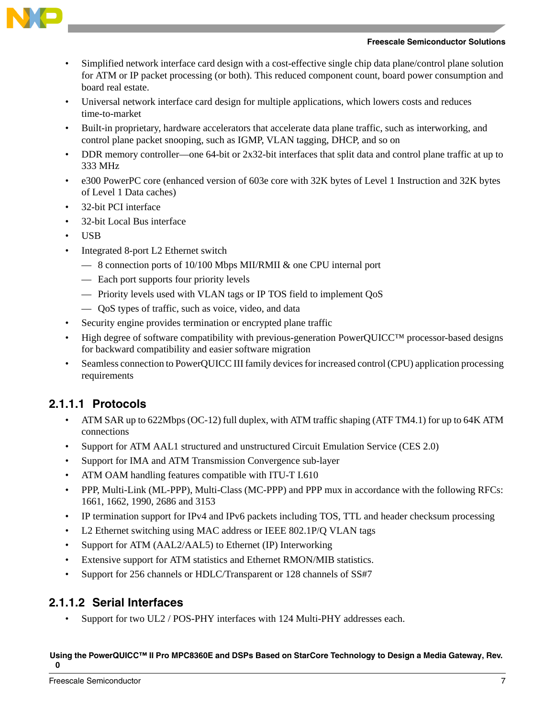



- Simplified network interface card design with a cost-effective single chip data plane/control plane solution for ATM or IP packet processing (or both). This reduced component count, board power consumption and board real estate.
- Universal network interface card design for multiple applications, which lowers costs and reduces time-to-market
- Built-in proprietary, hardware accelerators that accelerate data plane traffic, such as interworking, and control plane packet snooping, such as IGMP, VLAN tagging, DHCP, and so on
- DDR memory controller—one 64-bit or 2x32-bit interfaces that split data and control plane traffic at up to 333 MHz
- e300 PowerPC core (enhanced version of 603e core with 32K bytes of Level 1 Instruction and 32K bytes of Level 1 Data caches)
- 32-bit PCI interface
- 32-bit Local Bus interface
- USB
- Integrated 8-port L2 Ethernet switch
	- 8 connection ports of 10/100 Mbps MII/RMII & one CPU internal port
	- Each port supports four priority levels
	- Priority levels used with VLAN tags or IP TOS field to implement QoS
	- QoS types of traffic, such as voice, video, and data
- Security engine provides termination or encrypted plane traffic
- High degree of software compatibility with previous-generation PowerQUICC™ processor-based designs for backward compatibility and easier software migration
- Seamless connection to PowerQUICC III family devices for increased control (CPU) application processing requirements

### **2.1.1.1 Protocols**

- ATM SAR up to 622Mbps (OC-12) full duplex, with ATM traffic shaping (ATF TM4.1) for up to 64K ATM connections
- Support for ATM AAL1 structured and unstructured Circuit Emulation Service (CES 2.0)
- Support for IMA and ATM Transmission Convergence sub-layer
- ATM OAM handling features compatible with ITU-T I.610
- PPP, Multi-Link (ML-PPP), Multi-Class (MC-PPP) and PPP mux in accordance with the following RFCs: 1661, 1662, 1990, 2686 and 3153
- IP termination support for IPv4 and IPv6 packets including TOS, TTL and header checksum processing
- L2 Ethernet switching using MAC address or IEEE 802.1P/O VLAN tags
- Support for ATM (AAL2/AAL5) to Ethernet (IP) Interworking
- Extensive support for ATM statistics and Ethernet RMON/MIB statistics.
- Support for 256 channels or HDLC/Transparent or 128 channels of SS#7

### **2.1.1.2 Serial Interfaces**

Support for two UL2 / POS-PHY interfaces with 124 Multi-PHY addresses each.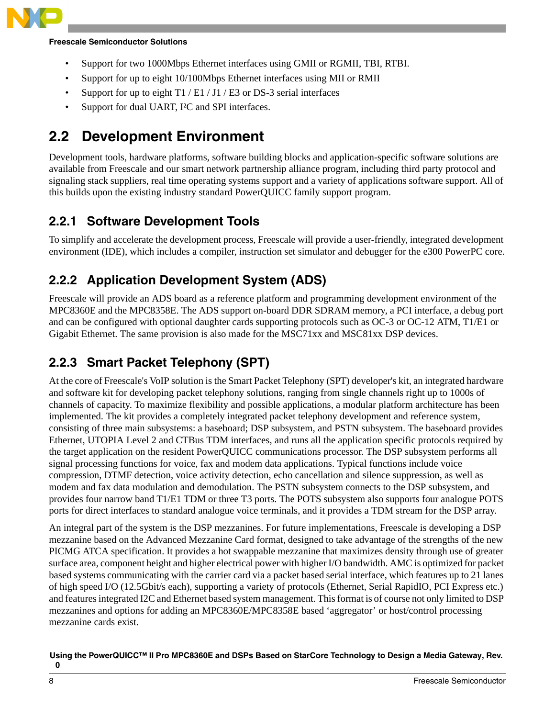

### **Freescale Semiconductor Solutions**

- Support for two 1000Mbps Ethernet interfaces using GMII or RGMII, TBI, RTBI.
- Support for up to eight 10/100Mbps Ethernet interfaces using MII or RMII
- Support for up to eight  $T1 / E1 / J1 / E3$  or DS-3 serial interfaces
- Support for dual UART, I<sup>2</sup>C and SPI interfaces.

## <span id="page-7-0"></span>**2.2 Development Environment**

Development tools, hardware platforms, software building blocks and application-specific software solutions are available from Freescale and our smart network partnership alliance program, including third party protocol and signaling stack suppliers, real time operating systems support and a variety of applications software support. All of this builds upon the existing industry standard PowerQUICC family support program.

### **2.2.1 Software Development Tools**

To simplify and accelerate the development process, Freescale will provide a user-friendly, integrated development environment (IDE), which includes a compiler, instruction set simulator and debugger for the e300 PowerPC core.

### **2.2.2 Application Development System (ADS)**

Freescale will provide an ADS board as a reference platform and programming development environment of the MPC8360E and the MPC8358E. The ADS support on-board DDR SDRAM memory, a PCI interface, a debug port and can be configured with optional daughter cards supporting protocols such as OC-3 or OC-12 ATM, T1/E1 or Gigabit Ethernet. The same provision is also made for the MSC71xx and MSC81xx DSP devices.

### **2.2.3 Smart Packet Telephony (SPT)**

At the core of Freescale's VoIP solution is the Smart Packet Telephony (SPT) developer's kit, an integrated hardware and software kit for developing packet telephony solutions, ranging from single channels right up to 1000s of channels of capacity. To maximize flexibility and possible applications, a modular platform architecture has been implemented. The kit provides a completely integrated packet telephony development and reference system, consisting of three main subsystems: a baseboard; DSP subsystem, and PSTN subsystem. The baseboard provides Ethernet, UTOPIA Level 2 and CTBus TDM interfaces, and runs all the application specific protocols required by the target application on the resident PowerQUICC communications processor. The DSP subsystem performs all signal processing functions for voice, fax and modem data applications. Typical functions include voice compression, DTMF detection, voice activity detection, echo cancellation and silence suppression, as well as modem and fax data modulation and demodulation. The PSTN subsystem connects to the DSP subsystem, and provides four narrow band T1/E1 TDM or three T3 ports. The POTS subsystem also supports four analogue POTS ports for direct interfaces to standard analogue voice terminals, and it provides a TDM stream for the DSP array.

An integral part of the system is the DSP mezzanines. For future implementations, Freescale is developing a DSP mezzanine based on the Advanced Mezzanine Card format, designed to take advantage of the strengths of the new PICMG ATCA specification. It provides a hot swappable mezzanine that maximizes density through use of greater surface area, component height and higher electrical power with higher I/O bandwidth. AMC is optimized for packet based systems communicating with the carrier card via a packet based serial interface, which features up to 21 lanes of high speed I/O (12.5Gbit/s each), supporting a variety of protocols (Ethernet, Serial RapidIO, PCI Express etc.) and features integrated I2C and Ethernet based system management. This format is of course not only limited to DSP mezzanines and options for adding an MPC8360E/MPC8358E based 'aggregator' or host/control processing mezzanine cards exist.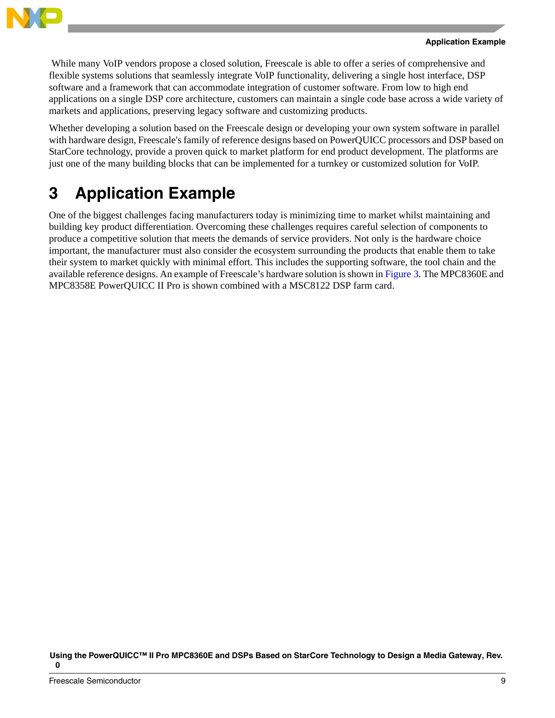

While many VoIP vendors propose a closed solution, Freescale is able to offer a series of comprehensive and flexible systems solutions that seamlessly integrate VoIP functionality, delivering a single host interface, DSP software and a framework that can accommodate integration of customer software. From low to high end applications on a single DSP core architecture, customers can maintain a single code base across a wide variety of markets and applications, preserving legacy software and customizing products.

Whether developing a solution based on the Freescale design or developing your own system software in parallel with hardware design, Freescale's family of reference designs based on PowerQUICC processors and DSP based on StarCore technology, provide a proven quick to market platform for end product development. The platforms are just one of the many building blocks that can be implemented for a turnkey or customized solution for VoIP.

# <span id="page-8-0"></span>**3 Application Example**

One of the biggest challenges facing manufacturers today is minimizing time to market whilst maintaining and building key product differentiation. Overcoming these challenges requires careful selection of components to produce a competitive solution that meets the demands of service providers. Not only is the hardware choice important, the manufacturer must also consider the ecosystem surrounding the products that enable them to take their system to market quickly with minimal effort. This includes the supporting software, the tool chain and the available reference designs. An example of Freescale's hardware solution is shown in [Figure 3.](#page-9-0) The MPC8360E and MPC8358E PowerQUICC II Pro is shown combined with a MSC8122 DSP farm card.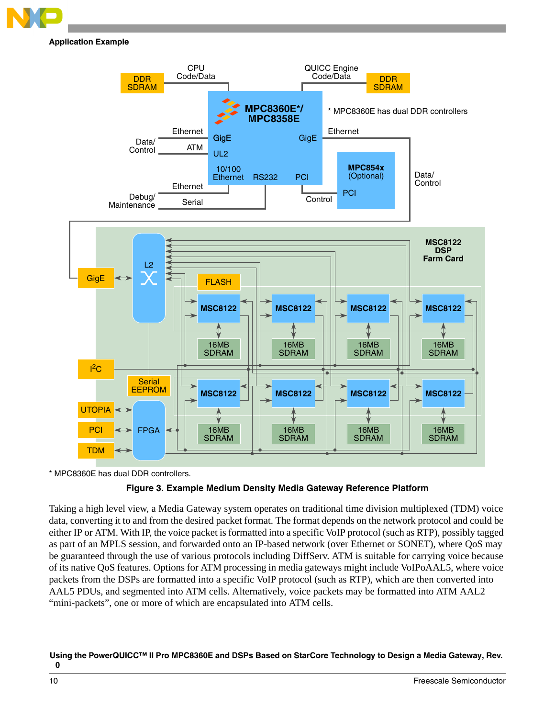

**Application Example**



<span id="page-9-0"></span>\* MPC8360E has dual DDR controllers.

### **Figure 3. Example Medium Density Media Gateway Reference Platform**

Taking a high level view, a Media Gateway system operates on traditional time division multiplexed (TDM) voice data, converting it to and from the desired packet format. The format depends on the network protocol and could be either IP or ATM. With IP, the voice packet is formatted into a specific VoIP protocol (such as RTP), possibly tagged as part of an MPLS session, and forwarded onto an IP-based network (over Ethernet or SONET), where QoS may be guaranteed through the use of various protocols including DiffServ. ATM is suitable for carrying voice because of its native QoS features. Options for ATM processing in media gateways might include VoIPoAAL5, where voice packets from the DSPs are formatted into a specific VoIP protocol (such as RTP), which are then converted into AAL5 PDUs, and segmented into ATM cells. Alternatively, voice packets may be formatted into ATM AAL2 "mini-packets", one or more of which are encapsulated into ATM cells.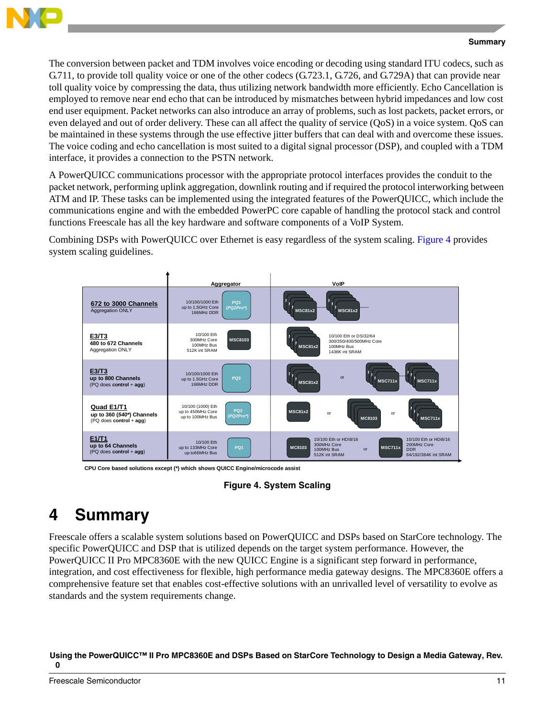

### **Summary**

The conversion between packet and TDM involves voice encoding or decoding using standard ITU codecs, such as G.711, to provide toll quality voice or one of the other codecs (G.723.1, G.726, and G.729A) that can provide near toll quality voice by compressing the data, thus utilizing network bandwidth more efficiently. Echo Cancellation is employed to remove near end echo that can be introduced by mismatches between hybrid impedances and low cost end user equipment. Packet networks can also introduce an array of problems, such as lost packets, packet errors, or even delayed and out of order delivery. These can all affect the quality of service (QoS) in a voice system. QoS can be maintained in these systems through the use effective jitter buffers that can deal with and overcome these issues. The voice coding and echo cancellation is most suited to a digital signal processor (DSP), and coupled with a TDM interface, it provides a connection to the PSTN network.

A PowerQUICC communications processor with the appropriate protocol interfaces provides the conduit to the packet network, performing uplink aggregation, downlink routing and if required the protocol interworking between ATM and IP. These tasks can be implemented using the integrated features of the PowerQUICC, which include the communications engine and with the embedded PowerPC core capable of handling the protocol stack and control functions Freescale has all the key hardware and software components of a VoIP System.

Combining DSPs with PowerQUICC over Ethernet is easy regardless of the system scaling. [Figure 4](#page-10-1) provides system scaling guidelines.



**CPU Core based solutions except (\*) which shows QUICC Engine/microcode assist**

**Figure 4. System Scaling**

# <span id="page-10-1"></span><span id="page-10-0"></span>**4 Summary**

Freescale offers a scalable system solutions based on PowerQUICC and DSPs based on StarCore technology. The specific PowerQUICC and DSP that is utilized depends on the target system performance. However, the PowerQUICC II Pro MPC8360E with the new QUICC Engine is a significant step forward in performance, integration, and cost effectiveness for flexible, high performance media gateway designs. The MPC8360E offers a comprehensive feature set that enables cost-effective solutions with an unrivalled level of versatility to evolve as standards and the system requirements change.